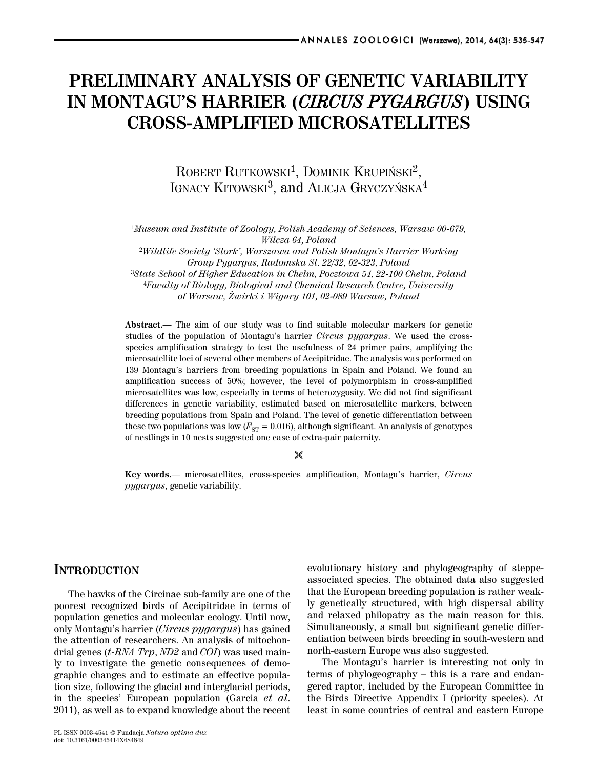# **PRELIMINARY ANALYSIS OF GENETIC VARIABILITY IN MONTAGU'S HARRIER (***CIRCUS PYGARGUS***) USING CROSS-AMPLIFIED MICROSATELLITES**

ROBERT RUTKOWSKI<sup>1</sup>, DOMINIK KRUPIŃSKI<sup>2</sup>, IGNACY KITOWSKI<sup>3</sup>, and ALICJA GRYCZYŃSKA<sup>4</sup>

<sup>1</sup>*Museum and Institute of Zoology, Polish Academy of Sciences, Warsaw 00-679, Wilcza 64, Poland*

<sup>2</sup>*Wildlife Society 'Stork', Warszawa and Polish Montagu's Harrier Working Group Pygargus, Radomska St. 22/32, 02-323, Poland* <sup>3</sup>*State School of Higher Education in Chełm, Pocztowa 54, 22-100 Chełm, Poland* <sup>4</sup>*Faculty of Biology, Biological and Chemical Research Centre, University of Warsaw, Żwirki i Wigury 101, 02-089 Warsaw, Poland*

**Abstract.—** The aim of our study was to find suitable molecular markers for genetic studies of the population of Montagu's harrier *Circus pygargus*. We used the crossspecies amplification strategy to test the usefulness of 24 primer pairs, amplifying the microsatellite loci of several other members of Accipitridae. The analysis was performed on 139 Montagu's harriers from breeding populations in Spain and Poland. We found an amplification success of 50%; however, the level of polymorphism in cross-amplified microsatellites was low, especially in terms of heterozygosity. We did not find significant differences in genetic variability, estimated based on microsatellite markers, between breeding populations from Spain and Poland. The level of genetic differentiation between these two populations was low  $(F_{ST} = 0.016)$ , although significant. An analysis of genotypes of nestlings in 10 nests suggested one case of extra-pair paternity.

#### $\sqrt[3]{2}$

**Key words.**— microsatellites, cross-species amplification, Montagu's harrier, *Circus pygargus*, genetic variability.

## **INTRODUCTION**

The hawks of the Circinae sub-family are one of the poorest recognized birds of Accipitridae in terms of population genetics and molecular ecology. Until now, only Montagu's harrier (*Circus pygargus*) has gained the attention of researchers. An analysis of mitochondrial genes (*t-RNA Trp*, *ND2* and *COI*) was used mainly to investigate the genetic consequences of demographic changes and to estimate an effective population size, following the glacial and interglacial periods, in the species' European population (Garcia *et al*. 2011), as well as to expand knowledge about the recent

PL ISSN 0003-4541 © Fundacja *Natura optima dux* doi: 10.3161/000345414X684849

evolutionary history and phylogeography of steppeassociated species. The obtained data also suggested that the European breeding population is rather weakly genetically structured, with high dispersal ability and relaxed philopatry as the main reason for this. Simultaneously, a small but significant genetic differentiation between birds breeding in south-western and north-eastern Europe was also suggested.

The Montagu's harrier is interesting not only in terms of phylogeography – this is a rare and endangered raptor, included by the European Committee in the Birds Directive Appendix I (priority species). At least in some countries of central and eastern Europe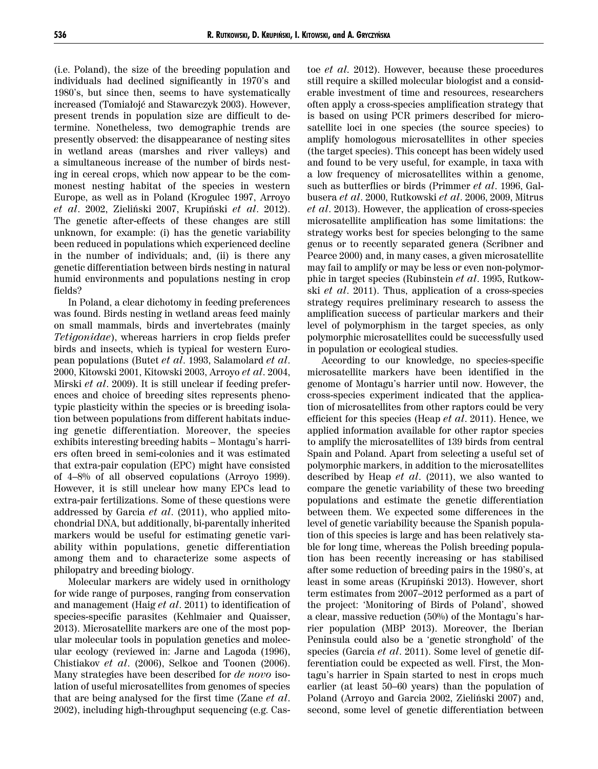(i.e. Poland), the size of the breeding population and individuals had declined significantly in 1970's and 1980's, but since then, seems to have systematically increased (Tomiałojć and Stawarczyk 2003). However, present trends in population size are difficult to determine. Nonetheless, two demographic trends are presently observed: the disappearance of nesting sites in wetland areas (marshes and river valleys) and a simultaneous increase of the number of birds nesting in cereal crops, which now appear to be the commonest nesting habitat of the species in western Europe, as well as in Poland (Krogulec 1997, Arroyo *et al*. 2002, Zieliński 2007, Krupiński *et al*. 2012). The genetic after-effects of these changes are still unknown, for example: (i) has the genetic variability been reduced in populations which experienced decline in the number of individuals; and, (ii) is there any genetic differentiation between birds nesting in natural humid environments and populations nesting in crop fields?

In Poland, a clear dichotomy in feeding preferences was found. Birds nesting in wetland areas feed mainly on small mammals, birds and invertebrates (mainly *Tetigonidae*), whereas harriers in crop fields prefer birds and insects, which is typical for western European populations (Butet *et al*. 1993, Salamolard *et al*. 2000, Kitowski 2001, Kitowski 2003, Arroyo *et al*. 2004, Mirski *et al*. 2009). It is still unclear if feeding preferences and choice of breeding sites represents phenotypic plasticity within the species or is breeding isolation between populations from different habitats inducing genetic differentiation. Moreover, the species exhibits interesting breeding habits – Montagu's harriers often breed in semi-colonies and it was estimated that extra-pair copulation (EPC) might have consisted of 4–8% of all observed copulations (Arroyo 1999). However, it is still unclear how many EPCs lead to extra-pair fertilizations. Some of these questions were addressed by Garcia *et al*. (2011), who applied mitochondrial DNA, but additionally, bi-parentally inherited markers would be useful for estimating genetic variability within populations, genetic differentiation among them and to characterize some aspects of philopatry and breeding biology.

Molecular markers are widely used in ornithology for wide range of purposes, ranging from conservation and management (Haig *et al*. 2011) to identification of species-specific parasites (Kehlmaier and Quaisser, 2013). Microsatellite markers are one of the most popular molecular tools in population genetics and molecular ecology (reviewed in: Jarne and Lagoda (1996), Chistiakov *et al*. (2006), Selkoe and Toonen (2006). Many strategies have been described for *de novo* isolation of useful microsatellites from genomes of species that are being analysed for the first time (Zane *et al*. 2002), including high-throughput sequencing (e.g. Castoe *et al.* 2012). However, because these procedures still require a skilled molecular biologist and a considerable investment of time and resources, researchers often apply a cross-species amplification strategy that is based on using PCR primers described for microsatellite loci in one species (the source species) to amplify homologous microsatellites in other species (the target species). This concept has been widely used and found to be very useful, for example, in taxa with a low frequency of microsatellites within a genome, such as butterflies or birds (Primmer *et al*. 1996, Galbusera *et al*. 2000, Rutkowski *et al*. 2006, 2009, Mitrus *et al*. 2013). However, the application of cross-species microsatellite amplification has some limitations: the strategy works best for species belonging to the same genus or to recently separated genera (Scribner and Pearce 2000) and, in many cases, a given microsatellite may fail to amplify or may be less or even non-polymorphic in target species (Rubinstein *et al*. 1995, Rutkowski *et al*. 2011). Thus, application of a cross-species strategy requires preliminary research to assess the amplification success of particular markers and their level of polymorphism in the target species, as only polymorphic microsatellites could be successfully used in population or ecological studies.

According to our knowledge, no species-specific microsatellite markers have been identified in the genome of Montagu's harrier until now. However, the cross-species experiment indicated that the application of microsatellites from other raptors could be very efficient for this species (Heap *et al*. 2011). Hence, we applied information available for other raptor species to amplify the microsatellites of 139 birds from central Spain and Poland. Apart from selecting a useful set of polymorphic markers, in addition to the microsatellites described by Heap *et al*. (2011), we also wanted to compare the genetic variability of these two breeding populations and estimate the genetic differentiation between them. We expected some differences in the level of genetic variability because the Spanish population of this species is large and has been relatively stable for long time, whereas the Polish breeding population has been recently increasing or has stabilised after some reduction of breeding pairs in the 1980's, at least in some areas (Krupiński 2013). However, short term estimates from 2007–2012 performed as a part of the project: 'Monitoring of Birds of Poland', showed a clear, massive reduction (50%) of the Montagu's harrier population (MBP 2013). Moreover, the Iberian Peninsula could also be a 'genetic stronghold' of the species (Garcia *et al*. 2011). Some level of genetic differentiation could be expected as well. First, the Montagu's harrier in Spain started to nest in crops much earlier (at least 50–60 years) than the population of Poland (Arroyo and Garcia 2002, Zieliński 2007) and, second, some level of genetic differentiation between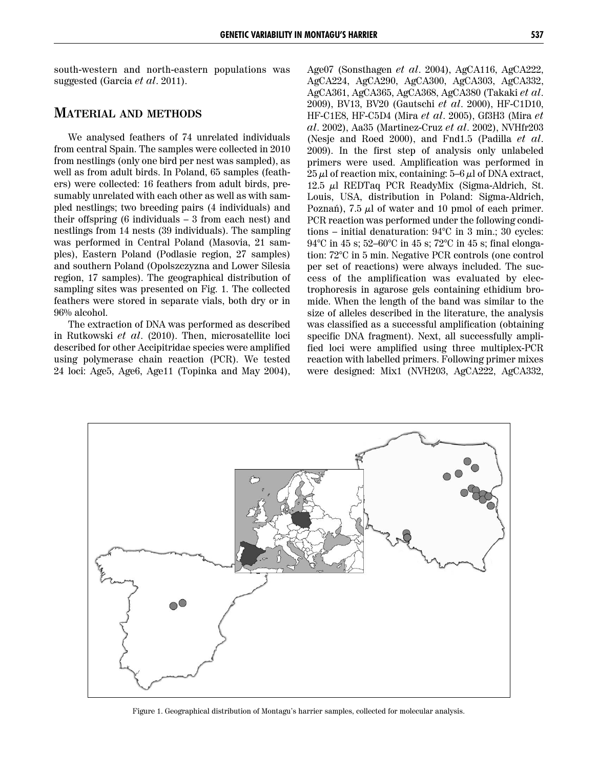south-western and north-eastern populations was suggested (Garcia *et al*. 2011).

## **MATERIAL AND METHODS**

We analysed feathers of 74 unrelated individuals from central Spain. The samples were collected in 2010 from nestlings (only one bird per nest was sampled), as well as from adult birds. In Poland, 65 samples (feathers) were collected: 16 feathers from adult birds, presumably unrelated with each other as well as with sampled nestlings; two breeding pairs (4 individuals) and their offspring  $(6 \text{ individuals} - 3 \text{ from each nest})$  and nestlings from 14 nests (39 individuals). The sampling was performed in Central Poland (Masovia, 21 samples), Eastern Poland (Podlasie region, 27 samples) and southern Poland (Opolszczyzna and Lower Silesia region, 17 samples). The geographical distribution of sampling sites was presented on Fig. 1. The collected feathers were stored in separate vials, both dry or in 96% alcohol.

The extraction of DNA was performed as described in Rutkowski *et al*. (2010). Then, microsatellite loci described for other Accipitridae species were amplified using polymerase chain reaction (PCR). We tested 24 loci: Age5, Age6, Age11 (Topinka and May 2004), Age07 (Sonsthagen *et al*. 2004), AgCA116, AgCA222, AgCA224, AgCA290, AgCA300, AgCA303, AgCA332, AgCA361, AgCA365, AgCA368, AgCA380 (Takaki *et al*. 2009), BV13, BV20 (Gautschi *et al*. 2000), HF-C1D10, HF-C1E8, HF-C5D4 (Mira *et al*. 2005), Gf3H3 (Mira *et al*. 2002), Aa35 (Martinez-Cruz *et al*. 2002), NVHfr203 (Nesje and Roed 2000), and Fnd1.5 (Padilla *et al*. 2009). In the first step of analysis only unlabeled primers were used. Amplification was performed in  $25 \mu$ l of reaction mix, containing:  $5-6 \mu$ l of DNA extract, 12.5 µl REDTaq PCR ReadyMix (Sigma-Aldrich, St. Louis, USA, distribution in Poland: Sigma-Aldrich, Poznań), 7.5  $\mu$ l of water and 10 pmol of each primer. PCR reaction was performed under the following conditions – initial denaturation: 94°C in 3 min.; 30 cycles: 94°C in 45 s; 52–60°C in 45 s; 72°C in 45 s; final elongation: 72°C in 5 min. Negative PCR controls (one control per set of reactions) were always included. The success of the amplification was evaluated by electrophoresis in agarose gels containing ethidium bromide. When the length of the band was similar to the size of alleles described in the literature, the analysis was classified as a successful amplification (obtaining specific DNA fragment). Next, all successfully amplified loci were amplified using three multiplex-PCR reaction with labelled primers. Following primer mixes were designed: Mix1 (NVH203, AgCA222, AgCA332,



Figure 1. Geographical distribution of Montagu's harrier samples, collected for molecular analysis.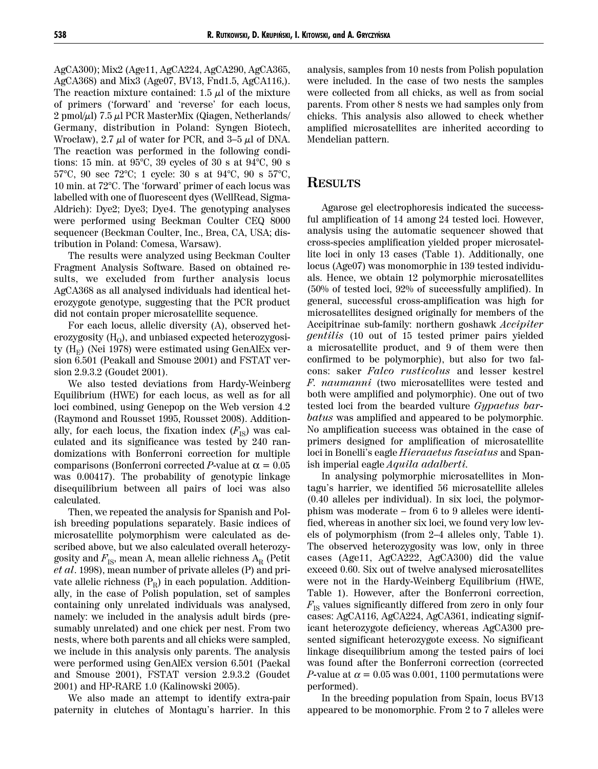AgCA300); Mix2 (Age11, AgCA224, AgCA290, AgCA365, AgCA368) and Mix3 (Age07, BV13, Fnd1.5, AgCA116,). The reaction mixture contained: 1.5  $\mu$ l of the mixture of primers ('forward' and 'reverse' for each locus, 2 pmol/ $\mu$ l) 7.5  $\mu$ l PCR MasterMix (Qiagen, Netherlands/ Germany, distribution in Poland: Syngen Biotech, Wrocław), 2.7  $\mu$ l of water for PCR, and 3–5  $\mu$ l of DNA. The reaction was performed in the following conditions: 15 min. at 95°C, 39 cycles of 30 s at 94°C, 90 s 57°C, 90 sec 72°C; 1 cycle: 30 s at 94°C, 90 s 57°C, 10 min. at 72°C. The 'forward' primer of each locus was labelled with one of fluorescent dyes (WellRead, Sigma-Aldrich): Dye2; Dye3; Dye4. The genotyping analyses were performed using Beckman Coulter CEQ 8000 sequencer (Beckman Coulter, Inc., Brea, CA, USA; distribution in Poland: Comesa, Warsaw).

The results were analyzed using Beckman Coulter Fragment Analysis Software. Based on obtained results, we excluded from further analysis locus AgCA368 as all analysed individuals had identical heterozygote genotype, suggesting that the PCR product did not contain proper microsatellite sequence.

For each locus, allelic diversity (A), observed heterozygosity  $(H<sub>o</sub>)$ , and unbiased expected heterozygosity  $(H_F)$  (Nei 1978) were estimated using GenAlEx version 6.501 (Peakall and Smouse 2001) and FSTAT version 2.9.3.2 (Goudet 2001).

We also tested deviations from Hardy-Weinberg Equilibrium (HWE) for each locus, as well as for all loci combined, using Genepop on the Web version 4.2 (Raymond and Rousset 1995, Rousset 2008). Additionally, for each locus, the fixation index  $(F_{IS})$  was calculated and its significance was tested by 240 randomizations with Bonferroni correction for multiple comparisons (Bonferroni corrected *P*-value at  $\alpha = 0.05$ was 0.00417). The probability of genotypic linkage disequilibrium between all pairs of loci was also calculated.

Then, we repeated the analysis for Spanish and Polish breeding populations separately. Basic indices of microsatellite polymorphism were calculated as described above, but we also calculated overall heterozygosity and  $F_{\text{IS}}$ , mean A, mean allelic richness  $A_{\text{R}}$  (Petit *et al*. 1998), mean number of private alleles (P) and private allelic richness  $(P_R)$  in each population. Additionally, in the case of Polish population, set of samples containing only unrelated individuals was analysed, namely: we included in the analysis adult birds (presumably unrelated) and one chick per nest. From two nests, where both parents and all chicks were sampled, we include in this analysis only parents. The analysis were performed using GenAlEx version 6.501 (Paekal and Smouse 2001), FSTAT version 2.9.3.2 (Goudet 2001) and HP-RARE 1.0 (Kalinowski 2005).

We also made an attempt to identify extra-pair paternity in clutches of Montagu's harrier. In this

analysis, samples from 10 nests from Polish population were included. In the case of two nests the samples were collected from all chicks, as well as from social parents. From other 8 nests we had samples only from chicks. This analysis also allowed to check whether amplified microsatellites are inherited according to Mendelian pattern.

### **RESULTS**

Agarose gel electrophoresis indicated the successful amplification of 14 among 24 tested loci. However, analysis using the automatic sequencer showed that cross-species amplification yielded proper microsatellite loci in only 13 cases (Table 1). Additionally, one locus (Age07) was monomorphic in 139 tested individuals. Hence, we obtain 12 polymorphic microsatellites (50% of tested loci, 92% of successfully amplified). In general, successful cross-amplification was high for microsatellites designed originally for members of the Accipitrinae sub-family: northern goshawk *Accipiter gentilis* (10 out of 15 tested primer pairs yielded a microsatellite product, and 9 of them were then confirmed to be polymorphic), but also for two falcons: saker *Falco rusticolus* and lesser kestrel *F. naumanni* (two microsatellites were tested and both were amplified and polymorphic). One out of two tested loci from the bearded vulture *Gypaetus barbatus* was amplified and appeared to be polymorphic. No amplification success was obtained in the case of primers designed for amplification of microsatellite loci in Bonelli's eagle *Hieraaetus fasciatus* and Spanish imperial eagle *Aquila adalberti.* 

In analysing polymorphic microsatellites in Montagu's harrier, we identified 56 microsatellite alleles (0.40 alleles per individual). In six loci, the polymorphism was moderate – from 6 to 9 alleles were identified, whereas in another six loci, we found very low levels of polymorphism (from 2–4 alleles only, Table 1). The observed heterozygosity was low, only in three cases (Age11, AgCA222, AgCA300) did the value exceed 0.60. Six out of twelve analysed microsatellites were not in the Hardy-Weinberg Equilibrium (HWE, Table 1). However, after the Bonferroni correction,  $F_{\text{IS}}$  values significantly differed from zero in only four cases: AgCA116, AgCA224, AgCA361, indicating significant heterozygote deficiency, whereas AgCA300 presented significant heterozygote excess. No significant linkage disequilibrium among the tested pairs of loci was found after the Bonferroni correction (corrected *P*-value at  $\alpha = 0.05$  was 0.001, 1100 permutations were performed).

In the breeding population from Spain, locus BV13 appeared to be monomorphic. From 2 to 7 alleles were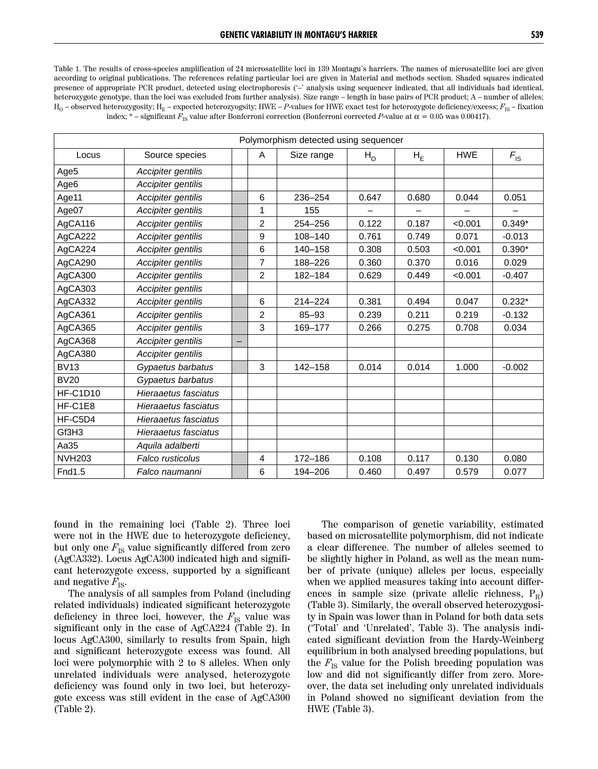Table 1. The results of cross-species amplification of 24 microsatellite loci in 139 Montagu's harriers. The names of microsatellite loci are given according to original publications. The references relating particular loci are given in Material and methods section. Shaded squares indicated presence of appropriate PCR product, detected using electrophoresis ('–' analysis using sequencer indicated, that all individuals had identical, heterozygote genotype, than the loci was excluded from further analysis). Size range – length in base pairs of PCR product; A – number of alleles;  $H_0$  – observed heterozygosity;  $H_E$  – expected heterozyogsity; HWE – *P*-values for HWE exact test for heterozygote deficiency/excess;  $F_{IS}$  – fixation index;  $*$  – significant  $F_{\text{IS}}$  value after Bonferroni correction (Bonferroni corrected *P*-value at  $\alpha = 0.05$  was 0.00417).

|               |                      |                | Polymorphism detected using sequencer |                |       |            |                 |
|---------------|----------------------|----------------|---------------------------------------|----------------|-------|------------|-----------------|
| Locus         | Source species       | A              | Size range                            | H <sub>o</sub> | $H_E$ | <b>HWE</b> | $F_{\text{IS}}$ |
| Age5          | Accipiter gentilis   |                |                                       |                |       |            |                 |
| Age6          | Accipiter gentilis   |                |                                       |                |       |            |                 |
| Age11         | Accipiter gentilis   | 6              | 236-254                               | 0.647          | 0.680 | 0.044      | 0.051           |
| Age07         | Accipiter gentilis   | 1              | 155                                   |                |       |            |                 |
| AgCA116       | Accipiter gentilis   | $\overline{c}$ | 254-256                               | 0.122          | 0.187 | < 0.001    | $0.349*$        |
| AgCA222       | Accipiter gentilis   | 9              | 108-140                               | 0.761          | 0.749 | 0.071      | $-0.013$        |
| AgCA224       | Accipiter gentilis   | 6              | 140-158                               | 0.308          | 0.503 | < 0.001    | $0.390*$        |
| AgCA290       | Accipiter gentilis   | $\overline{7}$ | 188-226                               | 0.360          | 0.370 | 0.016      | 0.029           |
| AgCA300       | Accipiter gentilis   | $\overline{2}$ | 182-184                               | 0.629          | 0.449 | < 0.001    | $-0.407$        |
| AgCA303       | Accipiter gentilis   |                |                                       |                |       |            |                 |
| AgCA332       | Accipiter gentilis   | 6              | $214 - 224$                           | 0.381          | 0.494 | 0.047      | $0.232*$        |
| AgCA361       | Accipiter gentilis   | $\overline{c}$ | $85 - 93$                             | 0.239          | 0.211 | 0.219      | $-0.132$        |
| AgCA365       | Accipiter gentilis   | 3              | 169-177                               | 0.266          | 0.275 | 0.708      | 0.034           |
| AgCA368       | Accipiter gentilis   |                |                                       |                |       |            |                 |
| AgCA380       | Accipiter gentilis   |                |                                       |                |       |            |                 |
| <b>BV13</b>   | Gypaetus barbatus    | 3              | $142 - 158$                           | 0.014          | 0.014 | 1.000      | $-0.002$        |
| <b>BV20</b>   | Gypaetus barbatus    |                |                                       |                |       |            |                 |
| HF-C1D10      | Hieraaetus fasciatus |                |                                       |                |       |            |                 |
| HF-C1E8       | Hieraaetus fasciatus |                |                                       |                |       |            |                 |
| HF-C5D4       | Hieraaetus fasciatus |                |                                       |                |       |            |                 |
| Gf3H3         | Hieraaetus fasciatus |                |                                       |                |       |            |                 |
| Aa35          | Aquila adalberti     |                |                                       |                |       |            |                 |
| <b>NVH203</b> | Falco rusticolus     | 4              | 172-186                               | 0.108          | 0.117 | 0.130      | 0.080           |
| Fnd1.5        | Falco naumanni       | 6              | 194-206                               | 0.460          | 0.497 | 0.579      | 0.077           |

found in the remaining loci (Table 2). Three loci were not in the HWE due to heterozygote deficiency, but only one  $F_{\text{IS}}$  value significantly differed from zero (AgCA332). Locus AgCA300 indicated high and significant heterozygote excess, supported by a significant and negative  $F_{\text{IS}}$ .

The analysis of all samples from Poland (including related individuals) indicated significant heterozygote deficiency in three loci, however, the  $F_{\text{IS}}$  value was significant only in the case of AgCA224 (Table 2). In locus AgCA300, similarly to results from Spain, high and significant heterozygote excess was found. All loci were polymorphic with 2 to 8 alleles. When only unrelated individuals were analysed, heterozygote deficiency was found only in two loci, but heterozygote excess was still evident in the case of AgCA300 (Table 2).

The comparison of genetic variability, estimated based on microsatellite polymorphism, did not indicate a clear difference. The number of alleles seemed to be slightly higher in Poland, as well as the mean number of private (unique) alleles per locus, especially when we applied measures taking into account differences in sample size (private allelic richness,  $P_R$ ) (Table 3). Similarly, the overall observed heterozygosity in Spain was lower than in Poland for both data sets ('Total' and 'Unrelated', Table 3). The analysis indicated significant deviation from the Hardy-Weinberg equilibrium in both analysed breeding populations, but the  $F_{\text{IS}}$  value for the Polish breeding population was low and did not significantly differ from zero. Moreover, the data set including only unrelated individuals in Poland showed no significant deviation from the HWE (Table 3).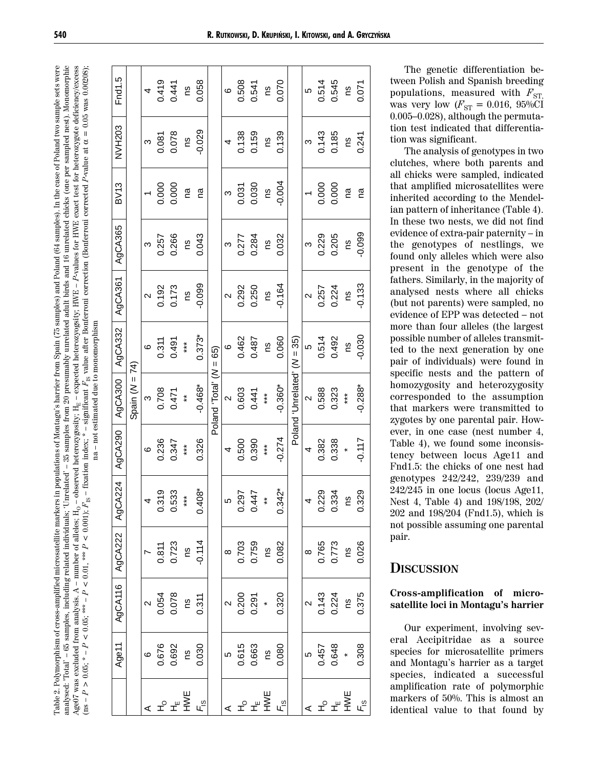analysed: "Total" – 65 samples, including related individuals; 'Unrelated' – 35 samples from 20 presumably unrelated adult birds and 16 unrelated chicks (one per sampled nest). Monomorphic *P*-values for HWE exact test for heterozygote deficiency/excess  $\alpha = 0.05$  was  $0.00208$ ); Table 2. Polymorphism of cross-amplified microsatellite markers in populations of Montagu's harrier from Spain (75 samples) and Poland (64 samples). In the case of Poland two sample sets were Age07 was excluded from analysis. A – number of alleles;  $H_0$  – observed heterozygosity;  $H_E$  – expected heterozyogsity; HWE – P-values for HWE exact test for heterozygote deficiency/excess Table 2. Polymorphism of cross-amplified microsatellite markers in populations of Montagu's harrier from Spain (75 samples) and Poland (64 samples). In the case of Poland two sample sets were analysed: "Iotal' – 65 samples, including related individuals; 'Unrelated' – 35 samples from 20 presumably unrelated adult birds and 16 unrelated chicks (one per sampled nest). Monomorphic <sup>2244</sup>  $P$  < 0.001);  $F_{\text{IS}}$  – fixation index; \* – significant  $F_{\text{IS}}$  value after Bonferroni correction (Bonferroni corrected P-value at  $\alpha = 0.05$  was 0.00208); *P*-value at  $F_{\rm IS}$  value after Bonferroni correction (Bonferroni corrected Age07 was excluded from analysis. A – number of alleles; H<sub>O</sub> – observed heterozygosity; H<sub>E</sub> – expected heterozyogsity; HWE – - not estimated due to monomorphism  $F_{\text{IS}}$  – fixation index;  $*$  – significant  $\mathbf{a}$ *P* < 0.001);  $P < 0.01,$  \*\*\*  $\text{ins} - P > 0.05$ ; \*  $-P < 0.05$ ; \*\*\*  $-P < 0.01$ , *P* < 0.05; \*\*\* –  $P > 0.05$ ; \* –

na – not estimated due to monomorphism

|                   | Age11              | <b>AgCA116</b>                | AgCA222                                                                  | AgCA224              | AgCA290              | AgCA300           | AgCA332    | AgCA361           | AgCA365  | <b>BV13</b> | NVH203   | Fnd1.5 |  |
|-------------------|--------------------|-------------------------------|--------------------------------------------------------------------------|----------------------|----------------------|-------------------|------------|-------------------|----------|-------------|----------|--------|--|
|                   |                    |                               |                                                                          |                      |                      | Spain $(N = 74)$  |            |                   |          |             |          |        |  |
|                   | $\circ$            | $\sim$                        |                                                                          | 4                    | $\circ$              | $\infty$          | $\circ$    | $\sim$            | S        |             | S        | 4      |  |
|                   | 0.676              |                               |                                                                          | 0.319                | 0.236                | 0.708             | 0.311      | 0.192             | 0.257    | 0.000       | 0.081    | 0.419  |  |
| ᆠᇰᆂᅚᆠ             | 0.692              | $0.054$<br>$0.078$<br>$0.311$ | $\begin{array}{c} 7 \\ 0.811 \\ 0.723 \\ \text{ns} \\ 0.114 \end{array}$ | 0.533                | 0.347                | 0.471             | 0.491      | 0.173             | 0.266    | 0.000       | 0.078    | 0.441  |  |
|                   | gu                 |                               |                                                                          | $***$                | $***$                | $\ddot{\ast}$     | $***$      | ns                | Su       | m           | ns       | SU     |  |
| Fis               | 0.030              |                               |                                                                          | $0.408*$             | 0.326                | $-0.468*$         | $0.373*$   | $-0.099$          | 0.043    | ma          | $-0.029$ | 0.058  |  |
|                   |                    |                               |                                                                          |                      |                      | Poland 'Total' (N | $= 65$     |                   |          |             |          |        |  |
|                   | LO                 | $\sim$                        |                                                                          | Ю                    | 4                    | $\sim$            | $\circ$    | $\mathbf{\Omega}$ | ო        | S           | 4        | ဖ      |  |
| שע<br>צ≞"ב ∡      | 0.615              | $0.200$<br>0.291              | $\begin{array}{c} 8 \\ 0.703 \\ 0.759 \\ 0.082 \\ 0.082 \end{array}$     | 0.297                | 0.500                | 0.603             | 0.462      | 0.292             | 0.277    | 0.031       | 0.138    | 0.508  |  |
|                   | 0.663              |                               |                                                                          | 0.447                | 0.390                | 0.441             | 0.487      | 0.250             | 0.284    | 0.030       | 0.159    | 0.541  |  |
|                   | gu                 |                               |                                                                          | $*$                  | $***$                | $***$             | 2U         | Su                | ns       | 2U          | ns       | SU     |  |
| $F_{\rm 1s}$      | 0.080              | 0.320                         |                                                                          | $0.342$ <sup>*</sup> | $-0.274$             | $-0.360*$         | 0.060      | $-0.164$          | 0.032    | $-0.004$    | 0.139    | 0.070  |  |
|                   |                    |                               |                                                                          |                      | Poland               | 'Unrelated'       | $(N = 35)$ |                   |          |             |          |        |  |
|                   | LO                 | $\sim$                        | $\infty$                                                                 | 4                    | 4                    | $\sim$            | မ          | $\mathbf{\Omega}$ | ო        |             | ო        | 5      |  |
|                   |                    |                               |                                                                          | 0.229                | 0.382                | 0.588             | 0.514      | 0.257             | 0.229    |             | 0.143    | 0.514  |  |
| ⊌<br>≼ ± ± ∑<br>⊿ | $0.457$<br>$0.648$ | 0.143<br>0.224<br>0.375       | 0.765<br>0.773<br>0.026                                                  | 0.334                | 0.338                | 0.323             | 0.492      | 0.224             | 0.205    | 0.000       | 0.185    | 0.545  |  |
|                   |                    |                               |                                                                          | SU                   | $\ddot{\phantom{1}}$ | $***$             | SU         | SU                | ns       | m           | ΩU       | ns     |  |
| F <sub>is</sub>   | 0.308              |                               |                                                                          | 0.329                | $-0.117$             | $-0.288*$         | $-0.030$   | $-0.133$          | $-0.099$ | ma          | 0.241    | 0.071  |  |

The genetic differentiation between Polish and Spanish breeding populations, measured with  $F_{ST}$ was very low  $(F_{ST} = 0.016, 95\% \tilde{Cl}$ 0.005–0.028), although the permutation test indicated that differentiation was significant.

The analysis of genotypes in two clutches, where both parents and all chicks were sampled, indicated that amplified microsatellites were inherited according to the Mendelian pattern of inheritance (Table 4). In these two nests, we did not find evidence of extra-pair paternity – in the genotypes of nestlings, we found only alleles which were also present in the genotype of the fathers. Similarly, in the majority of analysed nests where all chicks (but not parents) were sampled, no evidence of EPP was detected – not more than four alleles (the largest possible number of alleles transmitted to the next generation by one pair of individuals) were found in specific nests and the pattern of homozygosity and heterozygosity corresponded to the assumption that markers were transmitted to zygotes by one parental pair. However, in one case (nest number 4, Table 4), we found some inconsistency between locus Age11 and Fnd1.5: the chicks of one nest had genotypes 242/242, 239/239 and 242/245 in one locus (locus Age11, Nest 4, Table 4) and 198/198, 202/ 202 and 198/204 (Fnd1.5), which is not possible assuming one parental pair.

## **DISCUSSION**

#### **Cross-amplification of microsatellite loci in Montagu's harrier**

Our experiment, involving several Accipitridae as a source species for microsatellite primers and Montagu's harrier as a target species, indicated a successful amplification rate of polymorphic markers of 50%. This is almost an identical value to that found by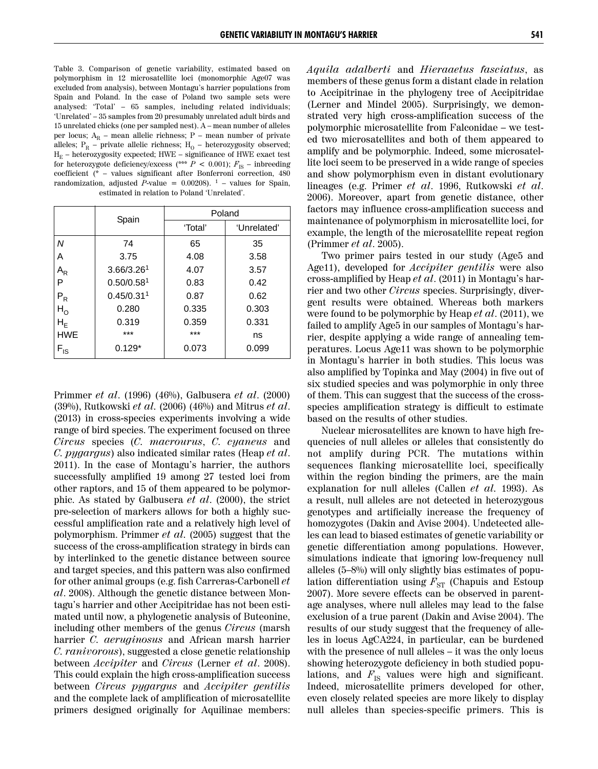Table 3. Comparison of genetic variability, estimated based on polymorphism in 12 microsatellite loci (monomorphic Age07 was excluded from analysis), between Montagu's harrier populations from Spain and Poland. In the case of Poland two sample sets were analysed: 'Total' – 65 samples, including related individuals; 'Unrelated' – 35 samples from 20 presumably unrelated adult birds and 15 unrelated chicks (one per sampled nest). A – mean number of alleles per locus;  $A_R$  – mean allelic richness; P – mean number of private alleles;  $P_R$  – private allelic richness;  $H_0$  – heterozygosity observed;  $H<sub>E</sub>$  – heterozygosity expected; HWE – significance of HWE exact test for heterozygote deficiency/excess (\*\*\*  $P$  < 0.001);  $F_{\text{IS}}$  – inbreeding coefficient (\* – values significant after Bonferroni correction, 480 randomization, adjusted  $\tilde{P}$ -value = 0.00208). <sup>1</sup> – values for Spain, estimated in relation to Poland 'Unrelated'.

|                           | Spain                  | Poland  |             |
|---------------------------|------------------------|---------|-------------|
|                           |                        | 'Total' | 'Unrelated' |
| Ν                         | 74                     | 65      | 35          |
| А                         | 3.75                   | 4.08    | 3.58        |
| $\mathsf{A}_{\mathsf{R}}$ | 3.66/3.26 <sup>1</sup> | 4.07    | 3.57        |
| P                         | 0.50/0.58 <sup>1</sup> | 0.83    | 0.42        |
| $\mathsf{P}_\mathsf{R}$   | 0.45/0.31 <sup>1</sup> | 0.87    | 0.62        |
| $H^{\Omega}$              | 0.280                  | 0.335   | 0.303       |
| ${\sf H}_{\sf E}$         | 0.319                  | 0.359   | 0.331       |
| <b>HWE</b>                | ***                    | $***$   | ns          |
| $F_{IS}$                  | $0.129*$               | 0.073   | 0.099       |

Primmer *et al*. (1996) (46%), Galbusera *et al*. (2000) (39%), Rutkowski *et al.* (2006) (46%) and Mitrus *et al*. (2013) in cross-species experiments involving a wide range of bird species. The experiment focused on three *Circus* species (*C. macrourus*, *C. cyaneus* and *C. pygargus*) also indicated similar rates (Heap *et al*. 2011). In the case of Montagu's harrier, the authors successfully amplified 19 among 27 tested loci from other raptors, and 15 of them appeared to be polymorphic. As stated by Galbusera *et al*. (2000), the strict pre-selection of markers allows for both a highly successful amplification rate and a relatively high level of polymorphism. Primmer *et al.* (2005) suggest that the success of the cross-amplification strategy in birds can by interlinked to the genetic distance between source and target species, and this pattern was also confirmed for other animal groups (e.g. fish Carreras-Carbonell *et al*. 2008). Although the genetic distance between Montagu's harrier and other Accipitridae has not been estimated until now, a phylogenetic analysis of Buteonine, including other members of the genus *Circus* (marsh harrier *C. aeruginosus* and African marsh harrier *C. ranivorous*), suggested a close genetic relationship between *Accipiter* and *Circus* (Lerner *et al*. 2008). This could explain the high cross-amplification success between *Circus pygargus* and *Accipiter gentilis* and the complete lack of amplification of microsatellite primers designed originally for Aquilinae members:

*Aquila adalberti* and *Hieraaetus fasciatus*, as members of these genus form a distant clade in relation to Accipitrinae in the phylogeny tree of Accipitridae (Lerner and Mindel 2005). Surprisingly, we demonstrated very high cross-amplification success of the polymorphic microsatellite from Falconidae – we tested two microsatellites and both of them appeared to amplify and be polymorphic. Indeed, some microsatellite loci seem to be preserved in a wide range of species and show polymorphism even in distant evolutionary lineages (e.g. Primer *et al*. 1996, Rutkowski *et al*. 2006). Moreover, apart from genetic distance, other factors may influence cross-amplification success and maintenance of polymorphism in microsatellite loci, for example, the length of the microsatellite repeat region (Primmer *et al*. 2005).

Two primer pairs tested in our study (Age5 and Age11), developed for *Accipiter gentilis* were also cross-amplified by Heap *et al*. (2011) in Montagu's harrier and two other *Circus* species. Surprisingly, divergent results were obtained. Whereas both markers were found to be polymorphic by Heap *et al*. (2011), we failed to amplify Age5 in our samples of Montagu's harrier, despite applying a wide range of annealing temperatures. Locus Age11 was shown to be polymorphic in Montagu's harrier in both studies. This locus was also amplified by Topinka and May (2004) in five out of six studied species and was polymorphic in only three of them. This can suggest that the success of the crossspecies amplification strategy is difficult to estimate based on the results of other studies.

Nuclear microsatellites are known to have high frequencies of null alleles or alleles that consistently do not amplify during PCR. The mutations within sequences flanking microsatellite loci, specifically within the region binding the primers, are the main explanation for null alleles (Callen *et al.* 1993). As a result, null alleles are not detected in heterozygous genotypes and artificially increase the frequency of homozygotes (Dakin and Avise 2004). Undetected alleles can lead to biased estimates of genetic variability or genetic differentiation among populations. However, simulations indicate that ignoring low-frequency null alleles (5–8%) will only slightly bias estimates of population differentiation using  $F_{ST}$  (Chapuis and Estoup 2007). More severe effects can be observed in parentage analyses, where null alleles may lead to the false exclusion of a true parent (Dakin and Avise 2004). The results of our study suggest that the frequency of alleles in locus AgCA224, in particular, can be burdened with the presence of null alleles – it was the only locus showing heterozygote deficiency in both studied populations, and  $F_{\text{IS}}$  values were high and significant. Indeed, microsatellite primers developed for other, even closely related species are more likely to display null alleles than species-specific primers. This is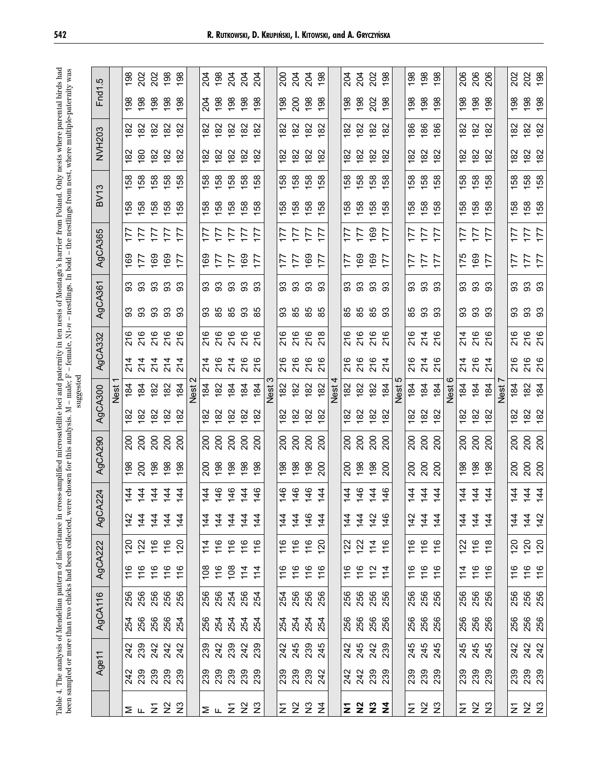|                                                                                                                                                                                                                                                               | r.               |      | 198            | 202                                     | 202             | 198                         | 86            |      | 204            | 198                                                                | 204 | 204                                              | 204 |      | 200        | 204                      | 204                                       | 198             |      | 204               | 204 | 202<br>198                         |                                       |      | 198 | 198                                       | 86  |      | 206         | 206                                                                                  | 206                      |      | 202          | 202<br>198                      |                          |
|---------------------------------------------------------------------------------------------------------------------------------------------------------------------------------------------------------------------------------------------------------------|------------------|------|----------------|-----------------------------------------|-----------------|-----------------------------|---------------|------|----------------|--------------------------------------------------------------------|-----|--------------------------------------------------|-----|------|------------|--------------------------|-------------------------------------------|-----------------|------|-------------------|-----|------------------------------------|---------------------------------------|------|-----|-------------------------------------------|-----|------|-------------|--------------------------------------------------------------------------------------|--------------------------|------|--------------|---------------------------------|--------------------------|
|                                                                                                                                                                                                                                                               | Fnd <sup>1</sup> |      | 198            | 198                                     | 198             | 198                         | 198           |      | 204            | 198                                                                | 198 | 198                                              | 198 |      | 198        | 200                      | 198                                       | 198             |      | 198               | 198 | 202                                | 198                                   |      | 198 | 198                                       | 198 |      | 198         | 198                                                                                  | 198                      |      | 198          | 198                             | 198                      |
|                                                                                                                                                                                                                                                               |                  |      | 182            | 182                                     | 182             | 182                         | 8             |      | 8              | 182                                                                | 182 | 182                                              | 8   |      | 182        | 182                      | 182                                       | 182             |      | 182               | 182 | 182                                | 82                                    |      | 186 | 186                                       | 86  |      | 182         | 182                                                                                  | 82                       |      | 182          | 182                             | 82                       |
|                                                                                                                                                                                                                                                               | <b>NVH203</b>    |      | 82             | 80                                      | 82              | 82                          | 8             |      | 8              | 82                                                                 | 82  | 8                                                | 8   |      | 82         | 82                       | 182                                       | 82              |      | 8                 | 82  | 82                                 | 82                                    |      | 82  | 82                                        | 82  |      | 8           | 82                                                                                   | 8                        |      | 182          | 182                             | 82                       |
|                                                                                                                                                                                                                                                               | S                |      | 158            | 158                                     | 158             | 158                         | 158           |      | 158            | 158                                                                | 58  | 158                                              | 58  |      | 158        | 158                      | 158                                       | 158             |      | 158               | 158 | 158                                | 58                                    |      | 158 | 158                                       | 58  |      | 158         | 158                                                                                  | 58                       |      | 158          | 158                             | 58                       |
|                                                                                                                                                                                                                                                               | BV1              |      | 58             | 158                                     | 158             | 158                         | 58            |      | 38             | 158                                                                | 158 | 158                                              | 58  |      | 158        | 158                      | 158                                       | 38              |      | 58                | 158 | 158                                |                                       |      | 158 | 158                                       | 58  |      | 38          | 158                                                                                  | 58                       |      | 158          | 158                             | 58                       |
|                                                                                                                                                                                                                                                               |                  |      | 77             | 177                                     | 177             | 177                         | 77            |      | 177            | 177                                                                | IТ  | 177                                              | 77  |      | 177        | 177                      | 177                                       | $\overline{17}$ |      | 177               | 177 | $\frac{27}{100}$                   |                                       |      | 177 | 177                                       | 77  |      | 177         | 177                                                                                  | 177                      |      | 177          | 177                             | 77                       |
|                                                                                                                                                                                                                                                               | AgCA365          |      | 169            | 177                                     | 169             | 169                         | 177           |      | 169            | 177                                                                | 177 | 169                                              | 177 |      | 177        | 177                      | 169                                       | 177             |      | 177               | 169 | $\frac{1}{69}$                     |                                       |      | 177 | 177                                       | 17  |      | 175         | 169                                                                                  | 177                      |      | 177          | 177                             | 177                      |
|                                                                                                                                                                                                                                                               |                  |      |                | <u>ສ ສ ສ ສ</u>                          |                 |                             | 3             |      | ვ<br>ვ<br>ვ    |                                                                    | 93  | 93                                               | 33  |      | 3          | 93                       | 3                                         | 93              |      | 33                | 93  | 33                                 | ္တ                                    |      | 3   | 63                                        | 93  |      | 93          | 93                                                                                   | 33                       |      | 33           | 93                              | 93                       |
| - nestlings. In bold - the nestlings from nest, where multiple-paternity was                                                                                                                                                                                  | AgCA361          |      |                | ვ<br>ვ<br>ვ                             | 3               | 93                          | 93            |      | 33             | 85                                                                 | 85  | 93                                               | 85  |      | 33         | 85                       | 85<br>85                                  |                 |      | 85                | 85  | 85                                 | 93                                    |      | 85  | ვ<br>მ შ                                  |     |      | 33          | 3                                                                                    | 93                       |      | 3            | 93                              | 33                       |
|                                                                                                                                                                                                                                                               |                  |      | 216            | 216                                     | 216             | 216                         | 216           |      | 216            | 216                                                                | 216 | 216                                              | 216 |      | 216        | 216                      | 216                                       | 218             |      | 216               | 216 | 216                                | ဖ                                     |      | 216 | 214                                       | 216 |      | 214         | 216                                                                                  | 216                      |      | 216          | 216                             | 216                      |
| $-$ female, N1- $n$                                                                                                                                                                                                                                           | AgCA332          |      | 214            | 214                                     | 214             |                             | 4             |      | 214            | 216                                                                | 214 | ဖ                                                | ဖ   |      | ဖ          | ဖ                        | ဖ                                         | ဖ               |      | ဖ                 | 216 | ဖ                                  | $\overline{\Omega}$<br>$\overline{4}$ |      | 216 | $214$<br>$216$                            |     |      | 4           | ဖ                                                                                    | 4                        |      | ဖ            | ဖ                               | ဖ                        |
|                                                                                                                                                                                                                                                               |                  |      |                |                                         |                 | 214                         |               |      |                |                                                                    |     | $\overline{\mathcal{S}}$                         |     |      | <u>প</u>   | $\overline{\mathcal{S}}$ | $\tilde{\mathcal{L}}$                     |                 |      | <u>ম</u>          |     | $\overline{\mathcal{S}}$           |                                       |      |     |                                           |     |      | 21          | $\overline{\mathcal{S}}$                                                             | $\overline{\mathcal{S}}$ |      | 21           | $\overline{\mathcal{S}}$        | $\overline{\mathcal{S}}$ |
| suggested                                                                                                                                                                                                                                                     | AgCA300          | Nest | 184            | 184                                     | 182             | 182                         | 184           | Nest | 184            | 182                                                                | 184 | 184                                              | 184 | Nest | 182        | 182                      | 182                                       | 182             | Nest | 182               | 182 | 182                                | 184                                   | Nest | 184 | 184                                       | 184 | Nest | 184         | 184                                                                                  | 184                      | Nest | 184          | 182                             | 184                      |
|                                                                                                                                                                                                                                                               |                  |      | 182            | 182                                     | $\overline{82}$ | 182                         | 8             |      | 8              | 8                                                                  | 8   | 82                                               | 8   |      | 8          | 182                      | 182                                       | ಜ               |      | 8                 | 82  | 82                                 | ಜ                                     |      | 8   | 182                                       | 8   |      | 8           | 182                                                                                  | 8                        |      | 182          | 182                             | 82                       |
|                                                                                                                                                                                                                                                               | AgCA290          |      | 200            | 200                                     | 200             | 200                         | 200           |      | 200            | 200                                                                | 200 | 200                                              | 200 |      | 200        | 200                      | 200                                       | 200             |      | 200               | 200 | 200                                | 200                                   |      | 200 | 200                                       | 200 |      | 200         | 200                                                                                  | 200                      |      | 200          | 200<br>200                      |                          |
|                                                                                                                                                                                                                                                               |                  |      | 198            | 200                                     | 198             | 198                         | 198           |      | 200            | 198                                                                | 198 | 198                                              | 198 |      | 198        | 198                      | 198                                       | 200             |      | 200               | 198 | 198                                | 200                                   |      | 200 | 200                                       | 200 |      | 88          | 198                                                                                  | 38                       |      | 200          | 200                             | 200                      |
| were chosen for this analysis. $M$ – male; $F$                                                                                                                                                                                                                | CA224            |      | $\frac{44}{3}$ | $\frac{44}{3}$                          | 144             | 144                         | 144           |      | 144            | 146                                                                | 146 | 144                                              | 146 |      | 146        | 146                      | 146                                       | 144             |      | 144               | 146 | 144                                | 146                                   |      | 144 | 144                                       | 144 |      | 144         | 144                                                                                  | 144                      |      | 144          | 144                             | 144                      |
|                                                                                                                                                                                                                                                               | ଟ୍ଟ              |      | सं             | $\overline{\phantom{a}}$<br>$rac{4}{4}$ |                 | $\frac{4}{7}$ $\frac{4}{7}$ | <u>र्</u>     |      | 4              | $\leftrightarrow$ $\leftrightarrow$ $\leftrightarrow$<br>$\dot{4}$ |     | $\frac{1}{4}$ $\frac{1}{4}$ $\frac{1}{4}$        |     |      | 4          | $\frac{4}{5}$            | 4404<br>$rac{4}{5}$ $rac{4}{5}$           |                 |      |                   |     | 444246                             |                                       |      |     | $\frac{1}{4}$ $\frac{1}{4}$ $\frac{1}{4}$ |     |      | <u>र्चे</u> | $\leftrightarrow$ $\leftrightarrow$ $\leftrightarrow$<br>$\frac{4}{7}$ $\frac{4}{7}$ |                          |      | $ -$<br>र्चे | <u>र्चे</u>                     | 42                       |
|                                                                                                                                                                                                                                                               | CA222            |      | ຊ              | 122                                     | 16              | 116                         | $\frac{5}{2}$ |      | $\frac{4}{11}$ | 116                                                                | 116 | 16                                               | 16  |      | 116        | 116                      | $\frac{6}{10}$                            | <u>120</u>      |      | 122               | 122 | 114                                | 16                                    |      | 116 | $16$<br>$17$                              |     |      | 122         | $116$<br>$11$                                                                        |                          |      | 120          | 120                             |                          |
|                                                                                                                                                                                                                                                               | ğÁ               |      | 116            | 116                                     | 116             | 116                         | 116           |      | 108            | 16                                                                 | 108 | 114                                              | 114 |      | 116        | 116                      | 116                                       |                 |      | 116               | 116 | $72$<br>$74$                       |                                       |      | 116 | $16$<br>$17$                              |     |      | 114         | 116                                                                                  | 16                       |      | 116          | 116                             | 116                      |
|                                                                                                                                                                                                                                                               | ဖ                |      | 256            | 256                                     | 256             | 256<br>256                  |               |      | 256            | 256                                                                | 254 | 256                                              | 254 |      | 254        | 256                      | 256                                       | 256             |      | 256               | 256 | 256<br>256                         |                                       |      | 256 | 256<br>256                                |     |      | 256         | 256<br>256                                                                           |                          |      | 256          | 256<br>256                      |                          |
|                                                                                                                                                                                                                                                               | AgCA11           |      |                | 254<br>256                              | 256             | 256<br>254                  |               |      | 256            | 254                                                                | 254 | 254                                              | 254 |      | ನೆ ನ<br>2  |                          | ន ន<br>ខ                                  |                 |      | 256               | 256 | 256<br>256                         |                                       |      | 256 | 256<br>256                                |     |      | 256         | 256<br>256                                                                           |                          |      | 256          | 256<br>256                      |                          |
|                                                                                                                                                                                                                                                               |                  |      | 242            | 239                                     | 242             | 242<br>242                  |               |      | 239<br>242     |                                                                    | 239 | 242<br>239                                       |     |      | 242<br>245 |                          | 239<br>245                                |                 |      | 242               | 245 | 242<br>239                         |                                       |      | 245 | 245<br>245                                |     |      |             | 45<br>245<br>246                                                                     |                          |      |              | 2<br>2<br>2<br>2<br>2<br>2<br>2 |                          |
| Table 4. The analysis of Mendelian pattern of inheritance in cross-amplified microsatellite loci and paternity in ten nests of Montagu's harrier from Poland. Only nests where parental birds had<br>been sampled or more than two chicks had been collected, | Age11            |      |                | 242<br>239                              | 239             | 239<br>239                  |               |      |                | 239<br>239                                                         | 239 | 239<br>239                                       |     |      |            |                          | 9<br>8<br>8<br>8<br>8<br>8<br>8<br>8<br>8 |                 |      |                   |     | 2<br>2 3 3 3<br>2 2 3 3<br>2 3 2 3 |                                       |      |     | 8<br>8<br>8<br>8<br>8<br>8                |     |      | 239         | 239<br>239                                                                           |                          |      |              | 8<br>8<br>8<br>8<br>8<br>8      |                          |
|                                                                                                                                                                                                                                                               |                  |      |                |                                         |                 |                             |               |      |                |                                                                    |     |                                                  |     |      |            |                          |                                           |                 |      |                   |     |                                    |                                       |      |     |                                           |     |      |             |                                                                                      |                          |      |              |                                 |                          |
|                                                                                                                                                                                                                                                               |                  |      |                | ∑ ∟ ∑ ½ ½                               |                 |                             |               |      |                |                                                                    |     | $\Sigma$ $\mathsf{L}$ $\Sigma$ $\Sigma$ $\Sigma$ |     |      |            |                          | 5 9 2 2                                   |                 |      | $\Sigma$ $\Sigma$ |     | $2\overline{2}$                    |                                       |      |     | 5 9 2                                     |     |      | Σ           | <u> 일</u> 2                                                                          |                          |      | Σ            | 22                              |                          |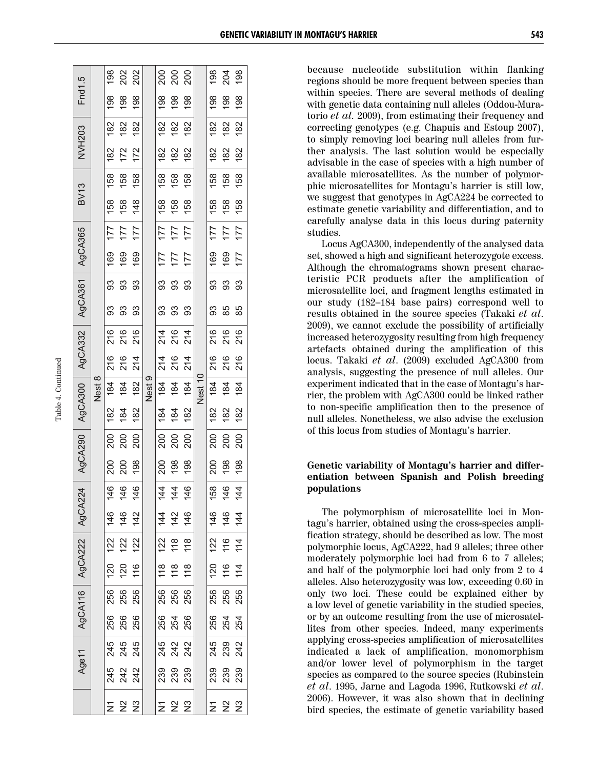| Fnd1.5                                |        |     | ទី ខ្លី ខ្លី                                             |     |        |     |                                                          |                  |         | 198 | $\frac{204}{198}$                   |                  |
|---------------------------------------|--------|-----|----------------------------------------------------------|-----|--------|-----|----------------------------------------------------------|------------------|---------|-----|-------------------------------------|------------------|
|                                       |        | 198 | $\frac{86}{198}$                                         |     |        | 198 | 198                                                      | 198              |         | 198 | 198                                 | 198              |
| <b>NVH203</b>                         |        |     | $\frac{8}{8}$ $\frac{8}{8}$ $\frac{8}{8}$                |     |        |     | $\frac{8}{8}$ $\frac{8}{8}$ $\frac{8}{8}$                |                  |         | 182 | 182                                 | 182              |
|                                       |        | 182 | $172$<br>$172$                                           |     |        | 182 | 182                                                      | 182              |         | 182 | 182                                 | 182              |
| <b>BV13</b>                           |        | 158 | 158<br>158                                               |     |        | 158 | 158                                                      | 158 <sub>1</sub> |         | 158 | 158                                 | 158 <sub>1</sub> |
|                                       |        |     | 158<br>158                                               | 148 |        |     | $158$<br>$158$<br>$158$                                  |                  |         | 158 | 158                                 | 158              |
|                                       |        |     | $\frac{111}{111}$                                        | 177 |        | 177 | 177                                                      | 177              |         | 177 | 177                                 | 177              |
| AgCA300   AgCA332   AgCA361   AgCA365 |        | 169 | 169<br>169                                               |     |        |     | $121$<br>$211$<br>$221$                                  |                  |         | 169 | 169                                 | 177              |
|                                       |        |     | 3<br>3<br>3                                              | 33  |        | 33  | 33                                                       | 93               |         | 93  | 33                                  | 33               |
|                                       |        | 33  | 33                                                       | 93  |        | 3   | 33                                                       |                  |         | 93  | 85                                  | 85               |
|                                       |        |     | 216<br>216<br>216                                        |     |        |     | 2 16 14<br>2 16 17                                       |                  |         |     | 216<br>216<br>216                   |                  |
|                                       |        |     | 216<br>214<br>214                                        |     |        |     | 2 5 4<br>2 6 4<br>2 7                                    |                  |         |     | 216<br>216<br>216                   |                  |
|                                       | Nest 8 |     | $\frac{4}{8}$ $\frac{4}{8}$ $\frac{8}{8}$                |     | Nest 9 |     | $\frac{184}{184}$                                        | 184              | Nest 10 | 184 | 184                                 | 184              |
|                                       |        | 182 | 184                                                      | 182 |        | 184 | 184                                                      | 182              |         | 182 | 182                                 | 182              |
|                                       |        |     | 8 8 8<br>2 8 9                                           |     |        |     | 200<br>200                                               | 200              |         | 200 | 200                                 | 200              |
|                                       |        |     | 888<br>888                                               |     |        |     | $\frac{88}{198}$                                         |                  |         |     | 200<br>198                          | 198              |
| AgCA224 AgCA290                       |        |     | $146$<br>146                                             | 146 |        |     | $rac{1}{4}$ $rac{1}{4}$                                  | 146              |         | 158 | $146$<br>$14$                       |                  |
|                                       |        |     | <u>.</u><br>또 또 또<br>그 도                                 |     |        |     | $\frac{4}{3}$ $\frac{4}{3}$ $\frac{6}{3}$                |                  |         |     | $rac{4}{6}$ $rac{4}{6}$ $rac{4}{4}$ |                  |
|                                       |        |     | 22<br>222                                                |     |        | 122 | $\frac{8}{10}$                                           | $\frac{8}{10}$   |         | 122 | $116$<br>$11$                       |                  |
| AgCA116 AgCA222                       |        | 120 | 120                                                      | 116 |        | 118 | 18                                                       | 18               |         | 120 | 116                                 | 114              |
|                                       |        | 256 | 256<br>256                                               |     |        | 256 | 256                                                      | 256              |         | 256 | 256                                 | 256              |
|                                       |        |     | 86<br>86<br>25<br>28                                     |     |        | 256 | 254<br>256                                               |                  |         |     | 8 3 3<br>8 3 3<br>2 3               |                  |
| Age11                                 |        |     | 45<br>245<br>245                                         |     |        |     | 5<br>3 3 3<br>2 3 3                                      |                  |         |     | 45<br>232<br>242                    |                  |
|                                       |        |     | 45<br>242<br>242                                         |     |        |     | 8<br>8<br>8<br>8<br>8<br>8                               |                  |         |     | 8<br>8<br>8<br>8<br>8<br>8          |                  |
|                                       |        |     | $\Sigma \overset{\circ}{\Sigma} \overset{\circ}{\Sigma}$ |     |        |     | $\Sigma \overset{\circ}{\Sigma} \overset{\circ}{\Sigma}$ |                  |         | Σ   | 22                                  |                  |
|                                       |        |     |                                                          |     |        |     |                                                          |                  |         |     |                                     |                  |

200<br>200 200

198 202<br>202 198

198 204

Table 4. Continued

Table 4. Continued

because nucleotide substitution within flanking regions should be more frequent between species than within species. There are several methods of dealing with genetic data containing null alleles (Oddou-Muratorio *et al.* 2009), from estimating their frequency and correcting genotypes (e.g. Chapuis and Estoup 2007), to simply removing loci bearing null alleles from further analysis. The last solution would be especially advisable in the case of species with a high number of available microsatellites. As the number of polymorphic microsatellites for Montagu's harrier is still low, we suggest that genotypes in AgCA224 be corrected to estimate genetic variability and differentiation, and to carefully analyse data in this locus during paternity studies.

Locus AgCA300, independently of the analysed data set, showed a high and significant heterozygote excess. Although the chromatograms shown present characteristic PCR products after the amplification of microsatellite loci, and fragment lengths estimated in our study (182–184 base pairs) correspond well to results obtained in the source species (Takaki *et al*. 2009), we cannot exclude the possibility of artificially increased heterozygosity resulting from high frequency artefacts obtained during the amplification of this locus. Takaki *et al*. (2009) excluded AgCA300 from analysis, suggesting the presence of null alleles. Our experiment indicated that in the case of Montagu's harrier, the problem with AgCA300 could be linked rather to non-specific amplification then to the presence of null alleles. Nonetheless, we also advise the exclusion of this locus from studies of Montagu's harrier.

#### **Genetic variability of Montagu's harrier and differentiation between Spanish and Polish breeding populations**

The polymorphism of microsatellite loci in Montagu's harrier, obtained using the cross-species amplification strategy, should be described as low. The most polymorphic locus, AgCA222, had 9 alleles; three other moderately polymorphic loci had from 6 to 7 alleles; and half of the polymorphic loci had only from 2 to 4 alleles. Also heterozygosity was low, exceeding 0.60 in only two loci. These could be explained either by a low level of genetic variability in the studied species, or by an outcome resulting from the use of microsatellites from other species. Indeed, many experiments applying cross-species amplification of microsatellites indicated a lack of amplification, monomorphism and/or lower level of polymorphism in the target species as compared to the source species (Rubinstein *et al*. 1995, Jarne and Lagoda 1996, Rutkowski *et al*. 2006). However, it was also shown that in declining bird species, the estimate of genetic variability based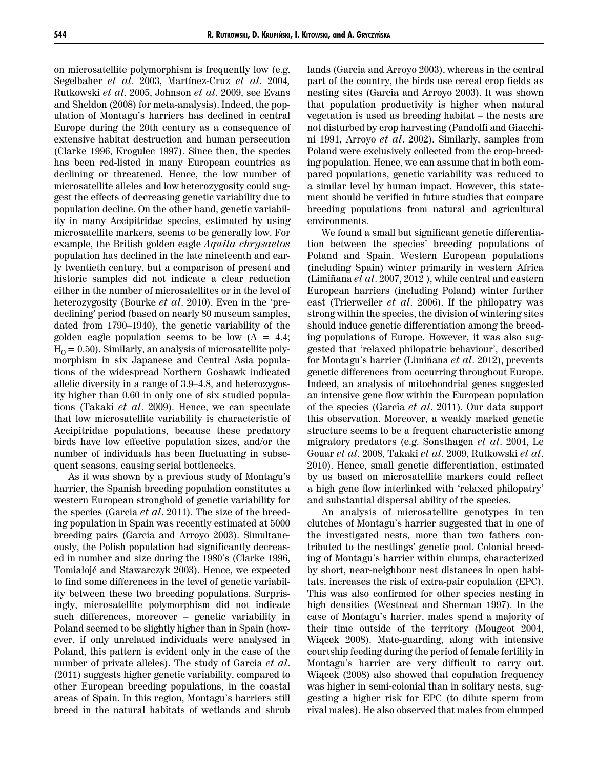on microsatellite polymorphism is frequently low (e.g. Segelbaher *et al*. 2003, Martínez-Cruz *et al*. 2004*,* Rutkowski *et al*. 2005, Johnson *et al*. 2009, see Evans and Sheldon (2008) for meta-analysis). Indeed, the population of Montagu's harriers has declined in central Europe during the 20th century as a consequence of extensive habitat destruction and human persecution (Clarke 1996, Krogulec 1997). Since then, the species has been red-listed in many European countries as declining or threatened. Hence, the low number of microsatellite alleles and low heterozygosity could suggest the effects of decreasing genetic variability due to population decline. On the other hand, genetic variability in many Accipitridae species, estimated by using microsatellite markers, seems to be generally low. For example, the British golden eagle *Aquila chrysaetos* population has declined in the late nineteenth and early twentieth century, but a comparison of present and historic samples did not indicate a clear reduction either in the number of microsatellites or in the level of heterozygosity (Bourke *et al*. 2010). Even in the 'predeclining' period (based on nearly 80 museum samples, dated from 1790–1940), the genetic variability of the golden eagle population seems to be low  $(A = 4.4;$  $H<sub>O</sub> = 0.50$ . Similarly, an analysis of microsatellite polymorphism in six Japanese and Central Asia populations of the widespread Northern Goshawk indicated allelic diversity in a range of 3.9–4.8, and heterozygosity higher than 0.60 in only one of six studied populations (Takaki *et al*. 2009). Hence, we can speculate that low microsatellite variability is characteristic of Accipitridae populations, because these predatory birds have low effective population sizes, and/or the number of individuals has been fluctuating in subsequent seasons, causing serial bottlenecks.

As it was shown by a previous study of Montagu's harrier, the Spanish breeding population constitutes a western European stronghold of genetic variability for the species (Garcia *et al*. 2011). The size of the breeding population in Spain was recently estimated at 5000 breeding pairs (Garcia and Arroyo 2003). Simultaneously, the Polish population had significantly decreased in number and size during the 1980's (Clarke 1996, Tomiałojć and Stawarczyk 2003). Hence, we expected to find some differences in the level of genetic variability between these two breeding populations. Surprisingly, microsatellite polymorphism did not indicate such differences, moreover – genetic variability in Poland seemed to be slightly higher than in Spain (however, if only unrelated individuals were analysed in Poland, this pattern is evident only in the case of the number of private alleles). The study of Garcia *et al*. (2011) suggests higher genetic variability, compared to other European breeding populations, in the coastal areas of Spain. In this region, Montagu's harriers still breed in the natural habitats of wetlands and shrub

lands (Garcia and Arroyo 2003), whereas in the central part of the country, the birds use cereal crop fields as nesting sites (Garcia and Arroyo 2003). It was shown that population productivity is higher when natural vegetation is used as breeding habitat – the nests are not disturbed by crop harvesting (Pandolfi and Giacchini 1991, Arroyo *et al*. 2002). Similarly, samples from Poland were exclusively collected from the crop-breeding population. Hence, we can assume that in both compared populations, genetic variability was reduced to a similar level by human impact. However, this statement should be verified in future studies that compare breeding populations from natural and agricultural environments.

We found a small but significant genetic differentiation between the species' breeding populations of Poland and Spain. Western European populations (including Spain) winter primarily in western Africa (Limiñana *et al*. 2007, 2012 ), while central and eastern European harriers (including Poland) winter further east (Trierweiler *et al*. 2006). If the philopatry was strong within the species, the division of wintering sites should induce genetic differentiation among the breeding populations of Europe. However, it was also suggested that 'relaxed philopatric behaviour', described for Montagu's harrier (Limiñana *et al*. 2012), prevents genetic differences from occurring throughout Europe. Indeed, an analysis of mitochondrial genes suggested an intensive gene flow within the European population of the species (Garcia *et al*. 2011). Our data support this observation. Moreover, a weakly marked genetic structure seems to be a frequent characteristic among migratory predators (e.g. Sonsthagen *et al*. 2004, Le Gouar *et al*. 2008, Takaki *et al*. 2009, Rutkowski *et al*. 2010). Hence, small genetic differentiation, estimated by us based on microsatellite markers could reflect a high gene flow interlinked with 'relaxed philopatry' and substantial dispersal ability of the species.

An analysis of microsatellite genotypes in ten clutches of Montagu's harrier suggested that in one of the investigated nests, more than two fathers contributed to the nestlings' genetic pool. Colonial breeding of Montagu's harrier within clumps, characterized by short, near-neighbour nest distances in open habitats, increases the risk of extra-pair copulation (EPC). This was also confirmed for other species nesting in high densities (Westneat and Sherman 1997). In the case of Montagu's harrier, males spend a majority of their time outside of the territory (Mougeot 2004, Wiącek 2008). Mate-guarding, along with intensive courtship feeding during the period of female fertility in Montagu's harrier are very difficult to carry out. Wiącek (2008) also showed that copulation frequency was higher in semi-colonial than in solitary nests, suggesting a higher risk for EPC (to dilute sperm from rival males). He also observed that males from clumped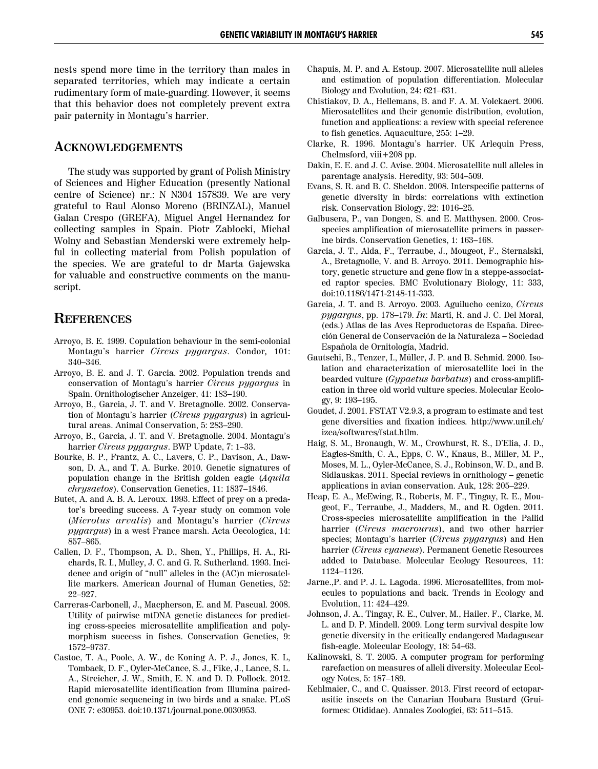nests spend more time in the territory than males in separated territories, which may indicate a certain rudimentary form of mate-guarding. However, it seems that this behavior does not completely prevent extra pair paternity in Montagu's harrier.

#### **ACKNOWLEDGEMENTS**

The study was supported by grant of Polish Ministry of Sciences and Higher Education (presently National centre of Science) nr.: N N304 157839. We are very grateful to Raul Alonso Moreno (BRINZAL), Manuel Galan Crespo (GREFA), Miguel Angel Hernandez for collecting samples in Spain. Piotr Zabłocki, Michał Wolny and Sebastian Menderski were extremely helpful in collecting material from Polish population of the species. We are grateful to dr Marta Gajewska for valuable and constructive comments on the manuscript.

# **REFERENCES**

- Arroyo, B. E. 1999. Copulation behaviour in the semi-colonial Montagu's harrier *Circus pygargus*. Condor*,* 101: 340–346.
- Arroyo, B. E. and J. T. Garcia. 2002. Population trends and conservation of Montagu's harrier *Circus pygargus* in Spain. Ornithologischer Anzeiger, 41: 183–190.
- Arroyo, B., Garcia, J. T. and V. Bretagnolle. 2002. Conservation of Montagu's harrier (*Circus pygargus*) in agricultural areas. Animal Conservation, 5: 283–290.
- Arroyo, B., Garcia, J. T. and V. Bretagnolle. 2004. Montagu's harrier *Circus pygargus*. BWP Update, 7: 1–33.
- Bourke, B. P., Frantz, A. C., Lavers, C. P., Davison, A., Dawson, D. A., and T. A. Burke. 2010. Genetic signatures of population change in the British golden eagle (*Aquila chrysaetos*). Conservation Genetics, 11: 1837–1846.
- Butet, A. and A. B. A. Leroux. 1993. Effect of prey on a predator's breeding success. A 7-year study on common vole (*Microtus arvalis*) and Montagu's harrier (*Circus pygargus*) in a west France marsh. Acta Oecologica, 14: 857–865.
- Callen, D. F., Thompson, A. D., Shen, Y., Phillips, H. A., Richards, R. I., Mulley, J. C. and G. R. Sutherland. 1993. Incidence and origin of "null" alleles in the (AC)n microsatellite markers. American Journal of Human Genetics, 52: 22–927.
- Carreras-Carbonell, J., Macpherson, E. and M. Pascual. 2008. Utility of pairwise mtDNA genetic distances for predicting cross-species microsatellite amplification and polymorphism success in fishes. Conservation Genetics, 9: 1572–9737.
- Castoe, T. A., Poole, A. W., de Koning A. P. J., Jones, K. L, Tomback, D. F., Oyler-McCance, S. J., Fike, J., Lance, S. L. A., Streicher, J. W., Smith, E. N. and D. D. Pollock. 2012. Rapid microsatellite identification from Illumina pairedend genomic sequencing in two birds and a snake. PLoS ONE 7: e30953. doi:10.1371/journal.pone.0030953.
- Chapuis, M. P. and A. Estoup. 2007. Microsatellite null alleles and estimation of population differentiation. Molecular Biology and Evolution, 24: 621–631.
- Chistiakov, D. A., Hellemans, B. and F. A. M. Volckaert. 2006. Microsatellites and their genomic distribution, evolution, function and applications: a review with special reference to fish genetics. Aquaculture, 255: 1–29.
- Clarke, R. 1996. Montagu's harrier. UK Arlequin Press, Chelmsford, viii+208 pp.
- Dakin, E. E. and J. C. Avise. 2004. Microsatellite null alleles in parentage analysis. Heredity, 93: 504–509.
- Evans, S. R. and B. C. Sheldon. 2008. Interspecific patterns of genetic diversity in birds: correlations with extinction risk. Conservation Biology, 22: 1016–25.
- Galbusera, P., van Dongen, S. and E. Matthysen. 2000. Crosspecies amplification of microsatellite primers in passerine birds. Conservation Genetics, 1: 163–168.
- Garcia, J. T., Alda, F., Terraube, J., Mougeot, F., Sternalski, A., Bretagnolle, V. and B. Arroyo. 2011. Demographic history, genetic structure and gene flow in a steppe-associated raptor species. BMC Evolutionary Biology, 11: 333, doi:10.1186/1471-2148-11-333.
- Garcia, J. T. and B. Arroyo. 2003. Aguilucho cenizo, *Circus pygargus*, pp. 178–179. *In*: Marti, R. and J. C. Del Moral, (eds.) Atlas de las Aves Reproductoras de España. Dirección General de Conservación de la Naturaleza – Sociedad Española de Ornitología, Madrid.
- Gautschi, B., Tenzer, I., Müller, J. P. and B. Schmid. 2000. Isolation and characterization of microsatellite loci in the bearded vulture (*Gypaetus barbatus*) and cross-amplification in three old world vulture species. Molecular Ecology, 9: 193–195.
- Goudet, J. 2001. FSTAT V2.9.3, a program to estimate and test gene diversities and fixation indices*.* http://www.unil.ch/ izea/softwares/fstat.htlm.
- Haig, S. M., Bronaugh, W. M., Crowhurst, R. S., D'Elia, J. D., Eagles-Smith, C. A., Epps, C. W., Knaus, B., Miller, M. P., Moses, M. L., Oyler-McCance, S. J., Robinson, W. D., and B. Sidlauskas. 2011. Special reviews in ornithology – genetic applications in avian conservation. Auk, 128: 205–229.
- Heap, E. A., McEwing, R., Roberts, M. F., Tingay, R. E., Mougeot, F., Terraube, J., Madders, M., and R. Ogden. 2011. Cross-species microsatellite amplification in the Pallid harrier (*Circus macrourus*), and two other harrier species; Montagu's harrier (*Circus pygargus*) and Hen harrier (*Circus cyaneus*). Permanent Genetic Resources added to Database. Molecular Ecology Resources, 11: 1124–1126.
- Jarne.,P. and P. J. L. Lagoda. 1996. Microsatellites, from molecules to populations and back. Trends in Ecology and Evolution, 11: 424–429.
- Johnson, J. A., Tingay, R. E., Culver, M., Hailer. F., Clarke, M. L. and D. P. Mindell. 2009. Long term survival despite low genetic diversity in the critically endangered Madagascar fish-eagle. Molecular Ecology, 18: 54–63.
- Kalinowski, S. T. 2005. A computer program for performing rarefaction on measures of alleli diversity. Molecular Ecology Notes, 5: 187–189.
- Kehlmaier, C., and C. Quaisser. 2013. First record of ectoparasitic insects on the Canarian Houbara Bustard (Gruiformes: Otididae). Annales Zoologici, 63: 511–515.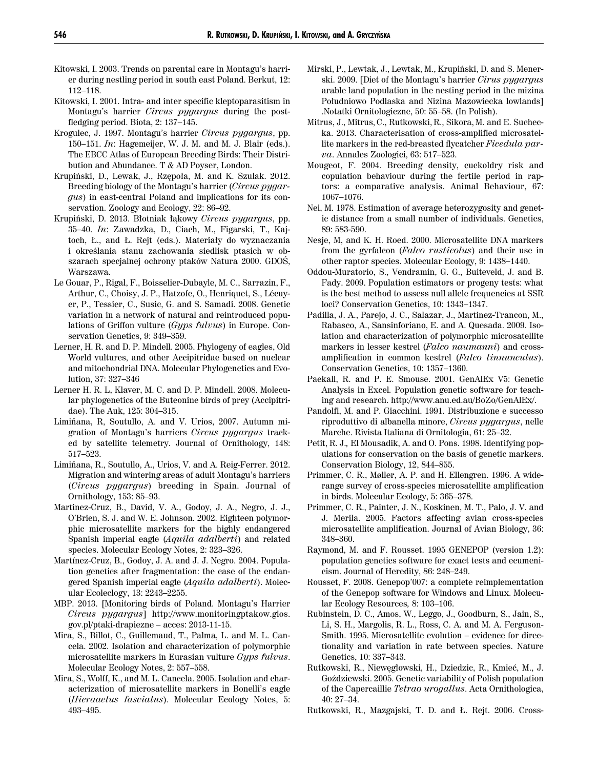- Kitowski, I. 2003. Trends on parental care in Montagu's harrier during nestling period in south east Poland. Berkut, 12: 112–118.
- Kitowski, I. 2001. Intra- and inter specific kleptoparasitism in Montagu's harrier *Circus pygargus* during the postfledging period. Biota, 2: 137–145.
- Krogulec, J. 1997. Montagu's harrier *Circus pygargus*, pp. 150–151. *In*: Hagemeijer, W. J. M. and M. J. Blair (eds.). The EBCC Atlas of European Breeding Birds: Their Distribution and Abundance. T & AD Poyser, London.
- Krupiński, D., Lewak, J., Rzępoła, M. and K. Szulak. 2012. Breeding biology of the Montagu's harrier (*Circus pygargus*) in east-central Poland and implications for its conservation. Zoology and Ecology, 22: 86–92.
- Krupiński, D. 2013. Błotniak łąkowy *Circus pygargus*, pp. 35–40. *In*: Zawadzka, D., Ciach, M., Figarski, T., Kajtoch, Ł., and Ł. Rejt (eds.). Materiały do wyznaczania i określania stanu zachowania siedlisk ptasich w obszarach specjalnej ochrony ptaków Natura 2000. GDOŚ, Warszawa.
- Le Gouar, P., Rigal, F., Boisselier-Dubayle, M. C., Sarrazin, F., Arthur, C., Choisy, J. P., Hatzofe, O., Henriquet, S., Lécuyer, P., Tessier, C., Susic, G. and S. Samadi. 2008. Genetic variation in a network of natural and reintroduced populations of Griffon vulture (*Gyps fulvus*) in Europe. Conservation Genetics, 9: 349–359.
- Lerner, H. R. and D. P. Mindell. 2005. Phylogeny of eagles, Old World vultures, and other Accipitridae based on nuclear and mitochondrial DNA. Molecular Phylogenetics and Evolution, 37: 327–346
- Lerner H. R. L, Klaver, M. C. and D. P. Mindell. 2008. Molecular phylogenetics of the Buteonine birds of prey (Accipitridae). The Auk, 125: 304–315.
- Limiñana, R, Soutullo, A. and V. Urios, 2007. Autumn migration of Montagu's harriers *Circus pygargus* tracked by satellite telemetry. Journal of Ornithology, 148: 517–523.
- Limiñana, R., Soutullo, A., Urios, V. and A. Reig-Ferrer. 2012. Migration and wintering areas of adult Montagu's harriers (*Circus pygargus*) breeding in Spain. Journal of Ornithology, 153: 85–93.
- Martinez-Cruz, B., David, V. A., Godoy, J. A., Negro, J. J., O'Brien, S. J. and W. E. Johnson. 2002. Eighteen polymorphic microsatellite markers for the highly endangered Spanish imperial eagle (*Aquila adalberti*) and related species. Molecular Ecology Notes, 2: 323–326.
- Martínez-Cruz, B., Godoy, J. A. and J. J. Negro. 2004. Population genetics after fragmentation: the case of the endangered Spanish imperial eagle (*Aquila adalberti*). Molecular Ecoleclogy, 13: 2243–2255.
- MBP. 2013. [Monitoring birds of Poland. Montagu's Harrier *Circus pygargus*] http://www.monitoringptakow.gios. gov.pl/ptaki-drapiezne – acces: 2013-11-15.
- Mira, S., Billot, C., Guillemaud, T., Palma, L. and M. L. Cancela. 2002. Isolation and characterization of polymorphic microsatellite markers in Eurasian vulture *Gyps fulvus*. Molecular Ecology Notes, 2: 557–558.
- Mira, S., Wolff, K., and M. L. Cancela. 2005. Isolation and characterization of microsatellite markers in Bonelli's eagle (*Hieraaetus fasciatus*). Molecular Ecology Notes, 5: 493–495.
- Mirski, P., Lewtak, J., Lewtak, M., Krupiński, D. and S. Menerski. 2009. [Diet of the Montagu's harrier *Cirus pygargus* arable land population in the nesting period in the mizina Południowo Podlaska and Nizina Mazowiecka lowlands] .Notatki Ornitologiczne, 50: 55–58. (In Polish).
- Mitrus, J., Mitrus, C., Rutkowski, R., Sikora, M. and E. Suchecka. 2013. Characterisation of cross-amplified microsatellite markers in the red-breasted flycatcher *Ficedula parva*. Annales Zoologici, 63: 517–523.
- Mougeot, F. 2004. Breeding density, cuckoldry risk and copulation behaviour during the fertile period in raptors: a comparative analysis. Animal Behaviour, 67: 1067–1076.
- Nei, M. 1978. Estimation of average heterozygosity and genetic distance from a small number of individuals. Genetics, 89: 583-590.
- Nesje, M, and K. H. Roed. 2000. Microsatellite DNA markers from the gyrfalcon (*Falco rusticolus*) and their use in other raptor species. Molecular Ecology, 9: 1438–1440.
- Oddou-Muratorio, S., Vendramin, G. G., Buiteveld, J. and B. Fady. 2009. Population estimators or progeny tests: what is the best method to assess null allele frequencies at SSR loci? Conservation Genetics, 10: 1343–1347.
- Padilla, J. A., Parejo, J. C., Salazar, J., Martinez-Trancon, M., Rabasco, A., Sansinforiano, E. and A. Quesada. 2009. Isolation and characterization of polymorphic microsatellite markers in lesser kestrel (*Falco naumanni*) and crossamplification in common kestrel (*Falco tinnunculus*). Conservation Genetics, 10: 1357–1360.
- Paekall, R. and P. E. Smouse. 2001. GenAlEx V5: Genetic Analysis in Excel*.* Population genetic software for teaching and research. http://www.anu.ed.au/BoZo/GenAlEx/.
- Pandolfi, M. and P. Giacchini. 1991. Distribuzione e successo riproduttivo di albanella minore, *Circus pygargus*, nelle Marche. Rivista Italiana di Ornitologia, 61: 25–32.
- Petit, R. J.*,* El Mousadik, A. and O. Pons. 1998. Identifying populations for conservation on the basis of genetic markers. Conservation Biology, 12, 844–855.
- Primmer, C. R., Møller, A. P. and H. Ellengren. 1996. A widerange survey of cross-species microsatellite amplification in birds. Molecular Ecology, 5: 365–378.
- Primmer, C. R., Painter, J. N., Koskinen, M. T., Palo, J. V. and J. Merila. 2005. Factors affecting avian cross-species microsatellite amplification. Journal of Avian Biology, 36: 348–360.
- Raymond, M. and F. Rousset. 1995 GENEPOP (version 1.2): population genetics software for exact tests and ecumenicism. Journal of Heredity, 86: 248–249.
- Rousset, F. 2008. Genepop'007: a complete reimplementation of the Genepop software for Windows and Linux. Molecular Ecology Resources*,* 8: 103–106.
- Rubinstein, D. C., Amos, W., Leggo, J., Goodburn, S., Jain, S., Li, S. H., Margolis, R. L., Ross, C. A. and M. A. Ferguson-Smith. 1995. Microsatellite evolution – evidence for directionality and variation in rate between species. Nature Genetics, 10: 337–343.
- Rutkowski, R., Niewęgłowski, H., Dziedzic, R., Kmieć, M., J. Goździewski. 2005. Genetic variability of Polish population of the Capercaillie *Tetrao urogallus*. Acta Ornithologica, 40: 27–34.
- Rutkowski, R., Mazgajski, T. D. and Ł. Rejt. 2006. Cross-